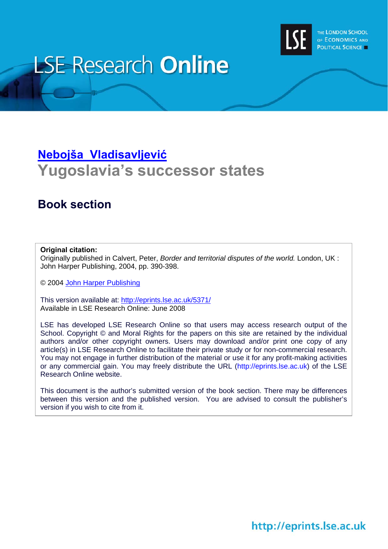

# **LSE Research Online**

# **[Nebojša Vladisavljevi](http://www.lse.ac.uk/people/n.Vladisavljevic@lse.ac.uk/)ć Yugoslavia's successor states**

# **Book section**

### **Original citation:**

Originally published in Calvert, Peter, *Border and territorial disputes of the world.* London, UK : John Harper Publishing, 2004, pp. 390-398.

© 2004 [John Harper Publishing](http://www.johnharperpublishing.co.uk/)

This version available at: <http://eprints.lse.ac.uk/5371/> Available in LSE Research Online: June 2008

LSE has developed LSE Research Online so that users may access research output of the School. Copyright © and Moral Rights for the papers on this site are retained by the individual authors and/or other copyright owners. Users may download and/or print one copy of any article(s) in LSE Research Online to facilitate their private study or for non-commercial research. You may not engage in further distribution of the material or use it for any profit-making activities or any commercial gain. You may freely distribute the URL (http://eprints.lse.ac.uk) of the LSE Research Online website.

This document is the author's submitted version of the book section. There may be differences between this version and the published version. You are advised to consult the publisher's version if you wish to cite from it.

# http://eprints.lse.ac.uk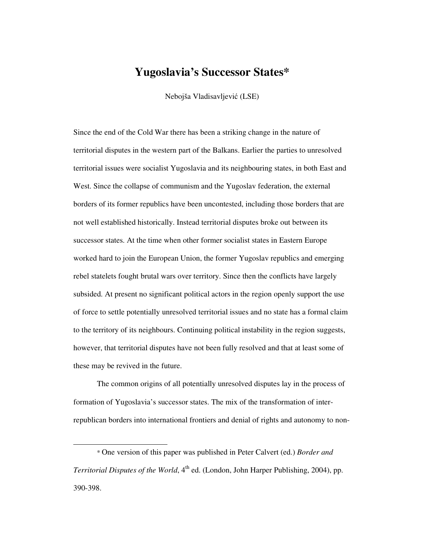## **Yugoslavia's Successor States\***

Nebojša Vladisavljević (LSE)

Since the end of the Cold War there has been a striking change in the nature of territorial disputes in the western part of the Balkans. Earlier the parties to unresolved territorial issues were socialist Yugoslavia and its neighbouring states, in both East and West. Since the collapse of communism and the Yugoslav federation, the external borders of its former republics have been uncontested, including those borders that are not well established historically. Instead territorial disputes broke out between its successor states. At the time when other former socialist states in Eastern Europe worked hard to join the European Union, the former Yugoslav republics and emerging rebel statelets fought brutal wars over territory. Since then the conflicts have largely subsided. At present no significant political actors in the region openly support the use of force to settle potentially unresolved territorial issues and no state has a formal claim to the territory of its neighbours. Continuing political instability in the region suggests, however, that territorial disputes have not been fully resolved and that at least some of these may be revived in the future.

The common origins of all potentially unresolved disputes lay in the process of formation of Yugoslavia's successor states. The mix of the transformation of interrepublican borders into international frontiers and denial of rights and autonomy to non-

 $\overline{\phantom{0}}$ 

<sup>\*</sup> One version of this paper was published in Peter Calvert (ed.) *Border and Territorial Disputes of the World*, 4<sup>th</sup> ed. (London, John Harper Publishing, 2004), pp. 390-398.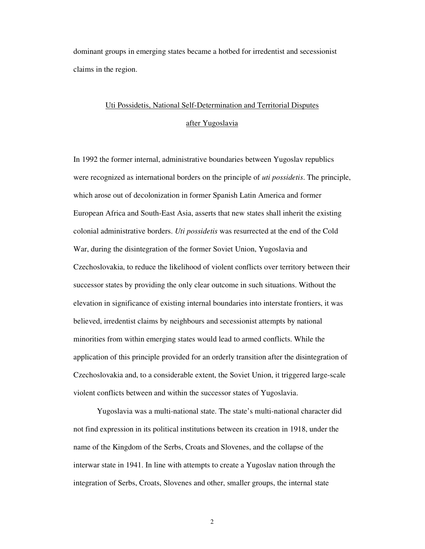dominant groups in emerging states became a hotbed for irredentist and secessionist claims in the region.

# Uti Possidetis, National Self-Determination and Territorial Disputes

### after Yugoslavia

In 1992 the former internal, administrative boundaries between Yugoslav republics were recognized as international borders on the principle of *uti possidetis*. The principle, which arose out of decolonization in former Spanish Latin America and former European Africa and South-East Asia, asserts that new states shall inherit the existing colonial administrative borders. *Uti possidetis* was resurrected at the end of the Cold War, during the disintegration of the former Soviet Union, Yugoslavia and Czechoslovakia, to reduce the likelihood of violent conflicts over territory between their successor states by providing the only clear outcome in such situations. Without the elevation in significance of existing internal boundaries into interstate frontiers, it was believed, irredentist claims by neighbours and secessionist attempts by national minorities from within emerging states would lead to armed conflicts. While the application of this principle provided for an orderly transition after the disintegration of Czechoslovakia and, to a considerable extent, the Soviet Union, it triggered large-scale violent conflicts between and within the successor states of Yugoslavia.

Yugoslavia was a multi-national state. The state's multi-national character did not find expression in its political institutions between its creation in 1918, under the name of the Kingdom of the Serbs, Croats and Slovenes, and the collapse of the interwar state in 1941. In line with attempts to create a Yugoslav nation through the integration of Serbs, Croats, Slovenes and other, smaller groups, the internal state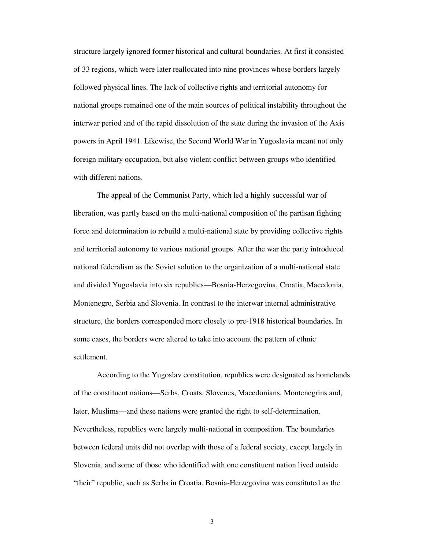structure largely ignored former historical and cultural boundaries. At first it consisted of 33 regions, which were later reallocated into nine provinces whose borders largely followed physical lines. The lack of collective rights and territorial autonomy for national groups remained one of the main sources of political instability throughout the interwar period and of the rapid dissolution of the state during the invasion of the Axis powers in April 1941. Likewise, the Second World War in Yugoslavia meant not only foreign military occupation, but also violent conflict between groups who identified with different nations.

The appeal of the Communist Party, which led a highly successful war of liberation, was partly based on the multi-national composition of the partisan fighting force and determination to rebuild a multi-national state by providing collective rights and territorial autonomy to various national groups. After the war the party introduced national federalism as the Soviet solution to the organization of a multi-national state and divided Yugoslavia into six republics—Bosnia-Herzegovina, Croatia, Macedonia, Montenegro, Serbia and Slovenia. In contrast to the interwar internal administrative structure, the borders corresponded more closely to pre-1918 historical boundaries. In some cases, the borders were altered to take into account the pattern of ethnic settlement.

According to the Yugoslav constitution, republics were designated as homelands of the constituent nations—Serbs, Croats, Slovenes, Macedonians, Montenegrins and, later, Muslims—and these nations were granted the right to self-determination. Nevertheless, republics were largely multi-national in composition. The boundaries between federal units did not overlap with those of a federal society, except largely in Slovenia, and some of those who identified with one constituent nation lived outside "their" republic, such as Serbs in Croatia. Bosnia-Herzegovina was constituted as the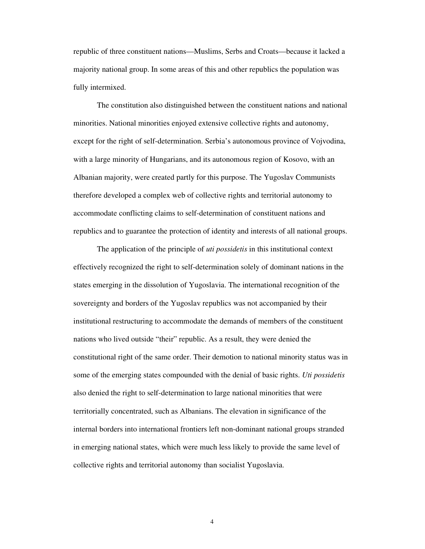republic of three constituent nations—Muslims, Serbs and Croats—because it lacked a majority national group. In some areas of this and other republics the population was fully intermixed.

The constitution also distinguished between the constituent nations and national minorities. National minorities enjoyed extensive collective rights and autonomy, except for the right of self-determination. Serbia's autonomous province of Vojvodina, with a large minority of Hungarians, and its autonomous region of Kosovo, with an Albanian majority, were created partly for this purpose. The Yugoslav Communists therefore developed a complex web of collective rights and territorial autonomy to accommodate conflicting claims to self-determination of constituent nations and republics and to guarantee the protection of identity and interests of all national groups.

The application of the principle of *uti possidetis* in this institutional context effectively recognized the right to self-determination solely of dominant nations in the states emerging in the dissolution of Yugoslavia. The international recognition of the sovereignty and borders of the Yugoslav republics was not accompanied by their institutional restructuring to accommodate the demands of members of the constituent nations who lived outside "their" republic. As a result, they were denied the constitutional right of the same order. Their demotion to national minority status was in some of the emerging states compounded with the denial of basic rights. *Uti possidetis* also denied the right to self-determination to large national minorities that were territorially concentrated, such as Albanians. The elevation in significance of the internal borders into international frontiers left non-dominant national groups stranded in emerging national states, which were much less likely to provide the same level of collective rights and territorial autonomy than socialist Yugoslavia.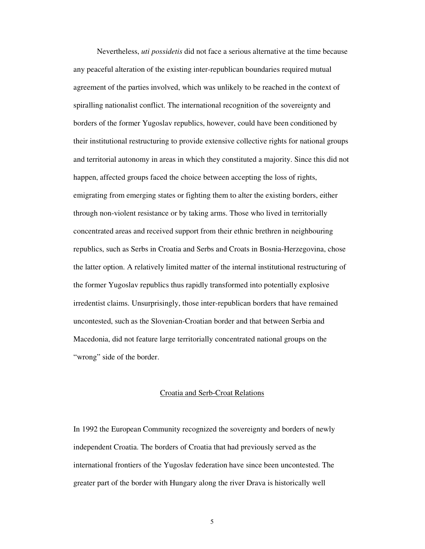Nevertheless, *uti possidetis* did not face a serious alternative at the time because any peaceful alteration of the existing inter-republican boundaries required mutual agreement of the parties involved, which was unlikely to be reached in the context of spiralling nationalist conflict. The international recognition of the sovereignty and borders of the former Yugoslav republics, however, could have been conditioned by their institutional restructuring to provide extensive collective rights for national groups and territorial autonomy in areas in which they constituted a majority. Since this did not happen, affected groups faced the choice between accepting the loss of rights, emigrating from emerging states or fighting them to alter the existing borders, either through non-violent resistance or by taking arms. Those who lived in territorially concentrated areas and received support from their ethnic brethren in neighbouring republics, such as Serbs in Croatia and Serbs and Croats in Bosnia-Herzegovina, chose the latter option. A relatively limited matter of the internal institutional restructuring of the former Yugoslav republics thus rapidly transformed into potentially explosive irredentist claims. Unsurprisingly, those inter-republican borders that have remained uncontested, such as the Slovenian-Croatian border and that between Serbia and Macedonia, did not feature large territorially concentrated national groups on the "wrong" side of the border.

#### Croatia and Serb-Croat Relations

In 1992 the European Community recognized the sovereignty and borders of newly independent Croatia. The borders of Croatia that had previously served as the international frontiers of the Yugoslav federation have since been uncontested. The greater part of the border with Hungary along the river Drava is historically well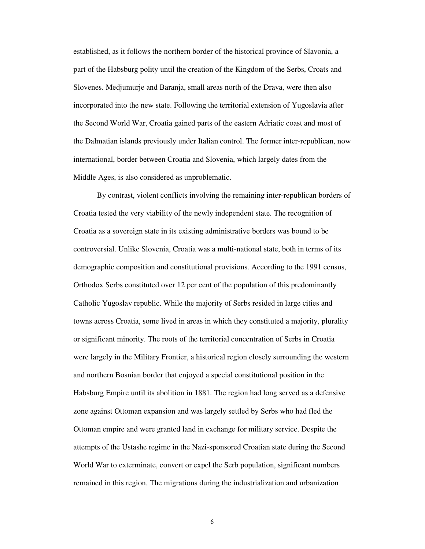established, as it follows the northern border of the historical province of Slavonia, a part of the Habsburg polity until the creation of the Kingdom of the Serbs, Croats and Slovenes. Medjumurje and Baranja, small areas north of the Drava, were then also incorporated into the new state. Following the territorial extension of Yugoslavia after the Second World War, Croatia gained parts of the eastern Adriatic coast and most of the Dalmatian islands previously under Italian control. The former inter-republican, now international, border between Croatia and Slovenia, which largely dates from the Middle Ages, is also considered as unproblematic.

By contrast, violent conflicts involving the remaining inter-republican borders of Croatia tested the very viability of the newly independent state. The recognition of Croatia as a sovereign state in its existing administrative borders was bound to be controversial. Unlike Slovenia, Croatia was a multi-national state, both in terms of its demographic composition and constitutional provisions. According to the 1991 census, Orthodox Serbs constituted over 12 per cent of the population of this predominantly Catholic Yugoslav republic. While the majority of Serbs resided in large cities and towns across Croatia, some lived in areas in which they constituted a majority, plurality or significant minority. The roots of the territorial concentration of Serbs in Croatia were largely in the Military Frontier, a historical region closely surrounding the western and northern Bosnian border that enjoyed a special constitutional position in the Habsburg Empire until its abolition in 1881. The region had long served as a defensive zone against Ottoman expansion and was largely settled by Serbs who had fled the Ottoman empire and were granted land in exchange for military service. Despite the attempts of the Ustashe regime in the Nazi-sponsored Croatian state during the Second World War to exterminate, convert or expel the Serb population, significant numbers remained in this region. The migrations during the industrialization and urbanization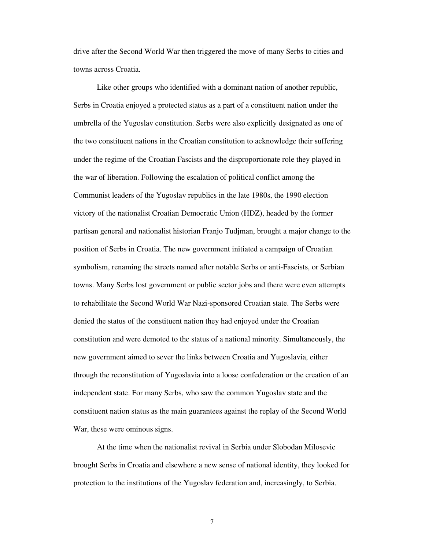drive after the Second World War then triggered the move of many Serbs to cities and towns across Croatia.

Like other groups who identified with a dominant nation of another republic, Serbs in Croatia enjoyed a protected status as a part of a constituent nation under the umbrella of the Yugoslav constitution. Serbs were also explicitly designated as one of the two constituent nations in the Croatian constitution to acknowledge their suffering under the regime of the Croatian Fascists and the disproportionate role they played in the war of liberation. Following the escalation of political conflict among the Communist leaders of the Yugoslav republics in the late 1980s, the 1990 election victory of the nationalist Croatian Democratic Union (HDZ), headed by the former partisan general and nationalist historian Franjo Tudjman, brought a major change to the position of Serbs in Croatia. The new government initiated a campaign of Croatian symbolism, renaming the streets named after notable Serbs or anti-Fascists, or Serbian towns. Many Serbs lost government or public sector jobs and there were even attempts to rehabilitate the Second World War Nazi-sponsored Croatian state. The Serbs were denied the status of the constituent nation they had enjoyed under the Croatian constitution and were demoted to the status of a national minority. Simultaneously, the new government aimed to sever the links between Croatia and Yugoslavia, either through the reconstitution of Yugoslavia into a loose confederation or the creation of an independent state. For many Serbs, who saw the common Yugoslav state and the constituent nation status as the main guarantees against the replay of the Second World War, these were ominous signs.

At the time when the nationalist revival in Serbia under Slobodan Milosevic brought Serbs in Croatia and elsewhere a new sense of national identity, they looked for protection to the institutions of the Yugoslav federation and, increasingly, to Serbia.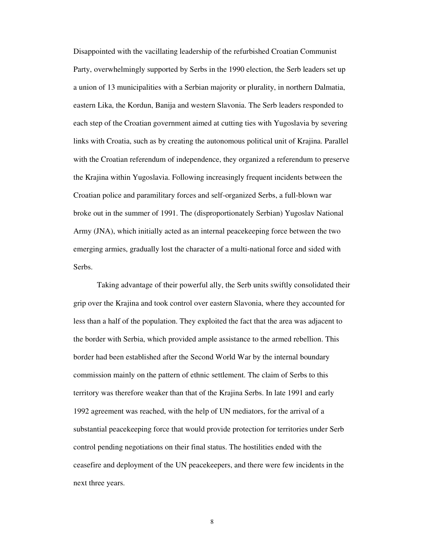Disappointed with the vacillating leadership of the refurbished Croatian Communist Party, overwhelmingly supported by Serbs in the 1990 election, the Serb leaders set up a union of 13 municipalities with a Serbian majority or plurality, in northern Dalmatia, eastern Lika, the Kordun, Banija and western Slavonia. The Serb leaders responded to each step of the Croatian government aimed at cutting ties with Yugoslavia by severing links with Croatia, such as by creating the autonomous political unit of Krajina. Parallel with the Croatian referendum of independence, they organized a referendum to preserve the Krajina within Yugoslavia. Following increasingly frequent incidents between the Croatian police and paramilitary forces and self-organized Serbs, a full-blown war broke out in the summer of 1991. The (disproportionately Serbian) Yugoslav National Army (JNA), which initially acted as an internal peacekeeping force between the two emerging armies, gradually lost the character of a multi-national force and sided with Serbs.

Taking advantage of their powerful ally, the Serb units swiftly consolidated their grip over the Krajina and took control over eastern Slavonia, where they accounted for less than a half of the population. They exploited the fact that the area was adjacent to the border with Serbia, which provided ample assistance to the armed rebellion. This border had been established after the Second World War by the internal boundary commission mainly on the pattern of ethnic settlement. The claim of Serbs to this territory was therefore weaker than that of the Krajina Serbs. In late 1991 and early 1992 agreement was reached, with the help of UN mediators, for the arrival of a substantial peacekeeping force that would provide protection for territories under Serb control pending negotiations on their final status. The hostilities ended with the ceasefire and deployment of the UN peacekeepers, and there were few incidents in the next three years.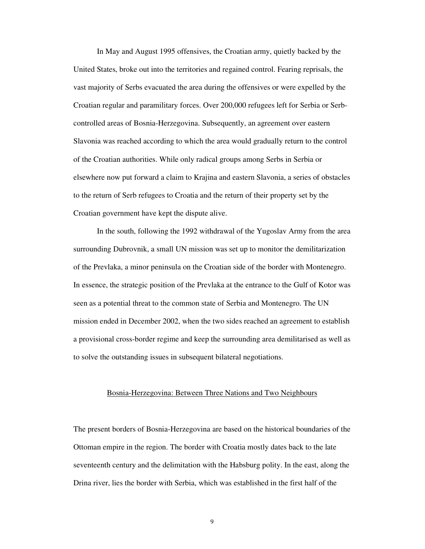In May and August 1995 offensives, the Croatian army, quietly backed by the United States, broke out into the territories and regained control. Fearing reprisals, the vast majority of Serbs evacuated the area during the offensives or were expelled by the Croatian regular and paramilitary forces. Over 200,000 refugees left for Serbia or Serbcontrolled areas of Bosnia-Herzegovina. Subsequently, an agreement over eastern Slavonia was reached according to which the area would gradually return to the control of the Croatian authorities. While only radical groups among Serbs in Serbia or elsewhere now put forward a claim to Krajina and eastern Slavonia, a series of obstacles to the return of Serb refugees to Croatia and the return of their property set by the Croatian government have kept the dispute alive.

In the south, following the 1992 withdrawal of the Yugoslav Army from the area surrounding Dubrovnik, a small UN mission was set up to monitor the demilitarization of the Prevlaka, a minor peninsula on the Croatian side of the border with Montenegro. In essence, the strategic position of the Prevlaka at the entrance to the Gulf of Kotor was seen as a potential threat to the common state of Serbia and Montenegro. The UN mission ended in December 2002, when the two sides reached an agreement to establish a provisional cross-border regime and keep the surrounding area demilitarised as well as to solve the outstanding issues in subsequent bilateral negotiations.

### Bosnia-Herzegovina: Between Three Nations and Two Neighbours

The present borders of Bosnia-Herzegovina are based on the historical boundaries of the Ottoman empire in the region. The border with Croatia mostly dates back to the late seventeenth century and the delimitation with the Habsburg polity. In the east, along the Drina river, lies the border with Serbia, which was established in the first half of the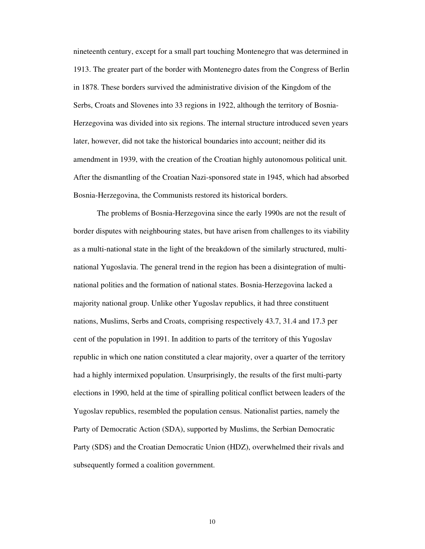nineteenth century, except for a small part touching Montenegro that was determined in 1913. The greater part of the border with Montenegro dates from the Congress of Berlin in 1878. These borders survived the administrative division of the Kingdom of the Serbs, Croats and Slovenes into 33 regions in 1922, although the territory of Bosnia-Herzegovina was divided into six regions. The internal structure introduced seven years later, however, did not take the historical boundaries into account; neither did its amendment in 1939, with the creation of the Croatian highly autonomous political unit. After the dismantling of the Croatian Nazi-sponsored state in 1945, which had absorbed Bosnia-Herzegovina, the Communists restored its historical borders.

The problems of Bosnia-Herzegovina since the early 1990s are not the result of border disputes with neighbouring states, but have arisen from challenges to its viability as a multi-national state in the light of the breakdown of the similarly structured, multinational Yugoslavia. The general trend in the region has been a disintegration of multinational polities and the formation of national states. Bosnia-Herzegovina lacked a majority national group. Unlike other Yugoslav republics, it had three constituent nations, Muslims, Serbs and Croats, comprising respectively 43.7, 31.4 and 17.3 per cent of the population in 1991. In addition to parts of the territory of this Yugoslav republic in which one nation constituted a clear majority, over a quarter of the territory had a highly intermixed population. Unsurprisingly, the results of the first multi-party elections in 1990, held at the time of spiralling political conflict between leaders of the Yugoslav republics, resembled the population census. Nationalist parties, namely the Party of Democratic Action (SDA), supported by Muslims, the Serbian Democratic Party (SDS) and the Croatian Democratic Union (HDZ), overwhelmed their rivals and subsequently formed a coalition government.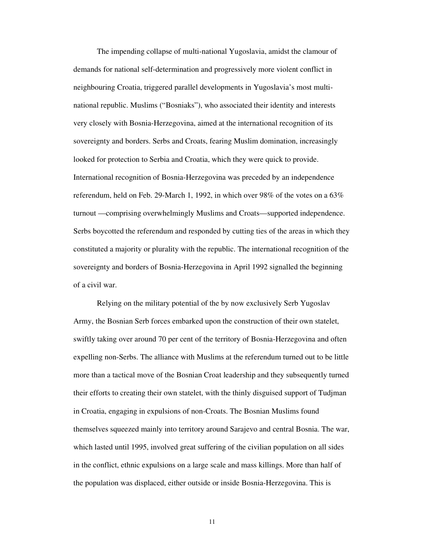The impending collapse of multi-national Yugoslavia, amidst the clamour of demands for national self-determination and progressively more violent conflict in neighbouring Croatia, triggered parallel developments in Yugoslavia's most multinational republic. Muslims ("Bosniaks"), who associated their identity and interests very closely with Bosnia-Herzegovina, aimed at the international recognition of its sovereignty and borders. Serbs and Croats, fearing Muslim domination, increasingly looked for protection to Serbia and Croatia, which they were quick to provide. International recognition of Bosnia-Herzegovina was preceded by an independence referendum, held on Feb. 29-March 1, 1992, in which over 98% of the votes on a 63% turnout —comprising overwhelmingly Muslims and Croats—supported independence. Serbs boycotted the referendum and responded by cutting ties of the areas in which they constituted a majority or plurality with the republic. The international recognition of the sovereignty and borders of Bosnia-Herzegovina in April 1992 signalled the beginning of a civil war.

Relying on the military potential of the by now exclusively Serb Yugoslav Army, the Bosnian Serb forces embarked upon the construction of their own statelet, swiftly taking over around 70 per cent of the territory of Bosnia-Herzegovina and often expelling non-Serbs. The alliance with Muslims at the referendum turned out to be little more than a tactical move of the Bosnian Croat leadership and they subsequently turned their efforts to creating their own statelet, with the thinly disguised support of Tudjman in Croatia, engaging in expulsions of non-Croats. The Bosnian Muslims found themselves squeezed mainly into territory around Sarajevo and central Bosnia. The war, which lasted until 1995, involved great suffering of the civilian population on all sides in the conflict, ethnic expulsions on a large scale and mass killings. More than half of the population was displaced, either outside or inside Bosnia-Herzegovina. This is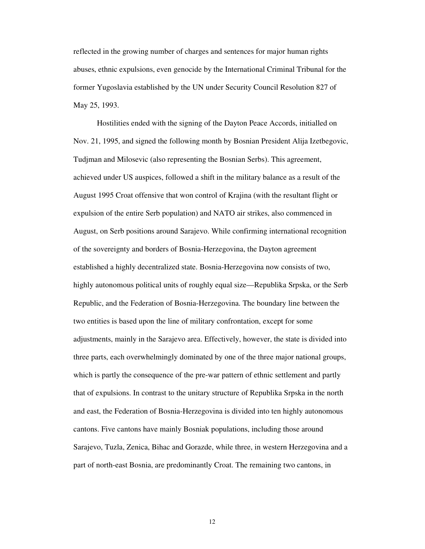reflected in the growing number of charges and sentences for major human rights abuses, ethnic expulsions, even genocide by the International Criminal Tribunal for the former Yugoslavia established by the UN under Security Council Resolution 827 of May 25, 1993.

Hostilities ended with the signing of the Dayton Peace Accords, initialled on Nov. 21, 1995, and signed the following month by Bosnian President Alija Izetbegovic, Tudjman and Milosevic (also representing the Bosnian Serbs). This agreement, achieved under US auspices, followed a shift in the military balance as a result of the August 1995 Croat offensive that won control of Krajina (with the resultant flight or expulsion of the entire Serb population) and NATO air strikes, also commenced in August, on Serb positions around Sarajevo. While confirming international recognition of the sovereignty and borders of Bosnia-Herzegovina, the Dayton agreement established a highly decentralized state. Bosnia-Herzegovina now consists of two, highly autonomous political units of roughly equal size—Republika Srpska, or the Serb Republic, and the Federation of Bosnia-Herzegovina. The boundary line between the two entities is based upon the line of military confrontation, except for some adjustments, mainly in the Sarajevo area. Effectively, however, the state is divided into three parts, each overwhelmingly dominated by one of the three major national groups, which is partly the consequence of the pre-war pattern of ethnic settlement and partly that of expulsions. In contrast to the unitary structure of Republika Srpska in the north and east, the Federation of Bosnia-Herzegovina is divided into ten highly autonomous cantons. Five cantons have mainly Bosniak populations, including those around Sarajevo, Tuzla, Zenica, Bihac and Gorazde, while three, in western Herzegovina and a part of north-east Bosnia, are predominantly Croat. The remaining two cantons, in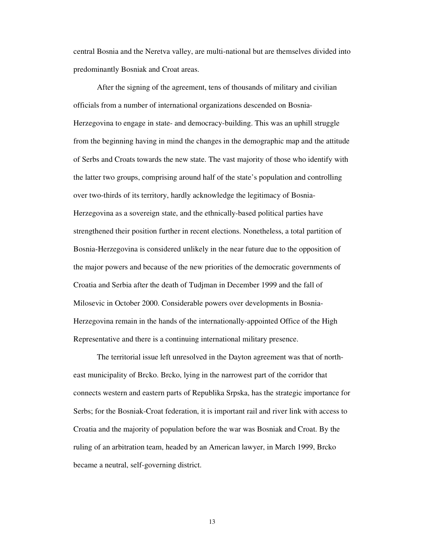central Bosnia and the Neretva valley, are multi-national but are themselves divided into predominantly Bosniak and Croat areas.

After the signing of the agreement, tens of thousands of military and civilian officials from a number of international organizations descended on Bosnia-Herzegovina to engage in state- and democracy-building. This was an uphill struggle from the beginning having in mind the changes in the demographic map and the attitude of Serbs and Croats towards the new state. The vast majority of those who identify with the latter two groups, comprising around half of the state's population and controlling over two-thirds of its territory, hardly acknowledge the legitimacy of Bosnia-Herzegovina as a sovereign state, and the ethnically-based political parties have strengthened their position further in recent elections. Nonetheless, a total partition of Bosnia-Herzegovina is considered unlikely in the near future due to the opposition of the major powers and because of the new priorities of the democratic governments of Croatia and Serbia after the death of Tudjman in December 1999 and the fall of Milosevic in October 2000. Considerable powers over developments in Bosnia-Herzegovina remain in the hands of the internationally-appointed Office of the High Representative and there is a continuing international military presence.

The territorial issue left unresolved in the Dayton agreement was that of northeast municipality of Brcko. Brcko, lying in the narrowest part of the corridor that connects western and eastern parts of Republika Srpska, has the strategic importance for Serbs; for the Bosniak-Croat federation, it is important rail and river link with access to Croatia and the majority of population before the war was Bosniak and Croat. By the ruling of an arbitration team, headed by an American lawyer, in March 1999, Brcko became a neutral, self-governing district.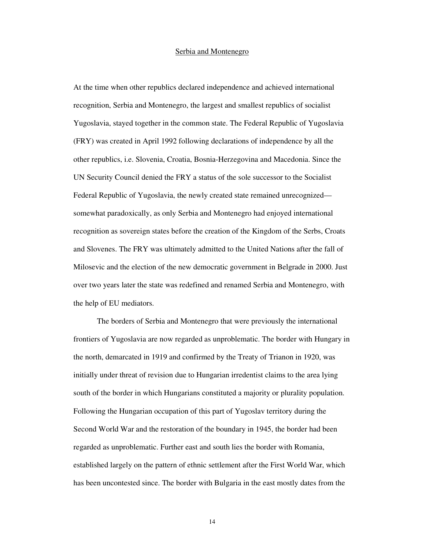### Serbia and Montenegro

At the time when other republics declared independence and achieved international recognition, Serbia and Montenegro, the largest and smallest republics of socialist Yugoslavia, stayed together in the common state. The Federal Republic of Yugoslavia (FRY) was created in April 1992 following declarations of independence by all the other republics, i.e. Slovenia, Croatia, Bosnia-Herzegovina and Macedonia. Since the UN Security Council denied the FRY a status of the sole successor to the Socialist Federal Republic of Yugoslavia, the newly created state remained unrecognized somewhat paradoxically, as only Serbia and Montenegro had enjoyed international recognition as sovereign states before the creation of the Kingdom of the Serbs, Croats and Slovenes. The FRY was ultimately admitted to the United Nations after the fall of Milosevic and the election of the new democratic government in Belgrade in 2000. Just over two years later the state was redefined and renamed Serbia and Montenegro, with the help of EU mediators.

The borders of Serbia and Montenegro that were previously the international frontiers of Yugoslavia are now regarded as unproblematic. The border with Hungary in the north, demarcated in 1919 and confirmed by the Treaty of Trianon in 1920, was initially under threat of revision due to Hungarian irredentist claims to the area lying south of the border in which Hungarians constituted a majority or plurality population. Following the Hungarian occupation of this part of Yugoslav territory during the Second World War and the restoration of the boundary in 1945, the border had been regarded as unproblematic. Further east and south lies the border with Romania, established largely on the pattern of ethnic settlement after the First World War, which has been uncontested since. The border with Bulgaria in the east mostly dates from the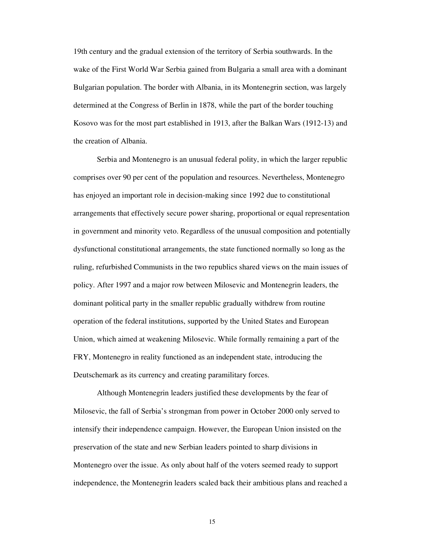19th century and the gradual extension of the territory of Serbia southwards. In the wake of the First World War Serbia gained from Bulgaria a small area with a dominant Bulgarian population. The border with Albania, in its Montenegrin section, was largely determined at the Congress of Berlin in 1878, while the part of the border touching Kosovo was for the most part established in 1913, after the Balkan Wars (1912-13) and the creation of Albania.

Serbia and Montenegro is an unusual federal polity, in which the larger republic comprises over 90 per cent of the population and resources. Nevertheless, Montenegro has enjoyed an important role in decision-making since 1992 due to constitutional arrangements that effectively secure power sharing, proportional or equal representation in government and minority veto. Regardless of the unusual composition and potentially dysfunctional constitutional arrangements, the state functioned normally so long as the ruling, refurbished Communists in the two republics shared views on the main issues of policy. After 1997 and a major row between Milosevic and Montenegrin leaders, the dominant political party in the smaller republic gradually withdrew from routine operation of the federal institutions, supported by the United States and European Union, which aimed at weakening Milosevic. While formally remaining a part of the FRY, Montenegro in reality functioned as an independent state, introducing the Deutschemark as its currency and creating paramilitary forces.

Although Montenegrin leaders justified these developments by the fear of Milosevic, the fall of Serbia's strongman from power in October 2000 only served to intensify their independence campaign. However, the European Union insisted on the preservation of the state and new Serbian leaders pointed to sharp divisions in Montenegro over the issue. As only about half of the voters seemed ready to support independence, the Montenegrin leaders scaled back their ambitious plans and reached a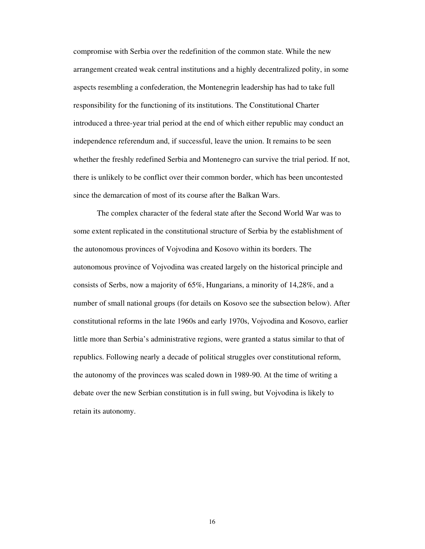compromise with Serbia over the redefinition of the common state. While the new arrangement created weak central institutions and a highly decentralized polity, in some aspects resembling a confederation, the Montenegrin leadership has had to take full responsibility for the functioning of its institutions. The Constitutional Charter introduced a three-year trial period at the end of which either republic may conduct an independence referendum and, if successful, leave the union. It remains to be seen whether the freshly redefined Serbia and Montenegro can survive the trial period. If not, there is unlikely to be conflict over their common border, which has been uncontested since the demarcation of most of its course after the Balkan Wars.

The complex character of the federal state after the Second World War was to some extent replicated in the constitutional structure of Serbia by the establishment of the autonomous provinces of Vojvodina and Kosovo within its borders. The autonomous province of Vojvodina was created largely on the historical principle and consists of Serbs, now a majority of 65%, Hungarians, a minority of 14,28%, and a number of small national groups (for details on Kosovo see the subsection below). After constitutional reforms in the late 1960s and early 1970s, Vojvodina and Kosovo, earlier little more than Serbia's administrative regions, were granted a status similar to that of republics. Following nearly a decade of political struggles over constitutional reform, the autonomy of the provinces was scaled down in 1989-90. At the time of writing a debate over the new Serbian constitution is in full swing, but Vojvodina is likely to retain its autonomy.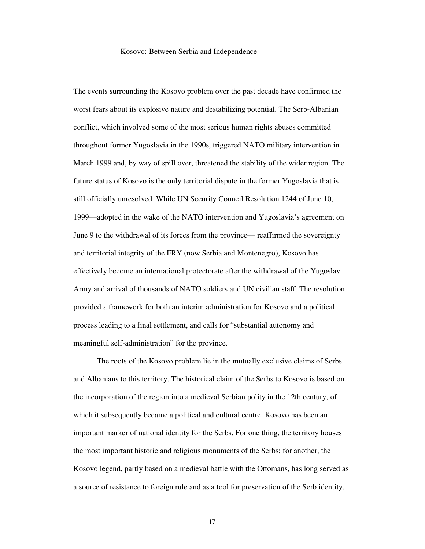#### Kosovo: Between Serbia and Independence

The events surrounding the Kosovo problem over the past decade have confirmed the worst fears about its explosive nature and destabilizing potential. The Serb-Albanian conflict, which involved some of the most serious human rights abuses committed throughout former Yugoslavia in the 1990s, triggered NATO military intervention in March 1999 and, by way of spill over, threatened the stability of the wider region. The future status of Kosovo is the only territorial dispute in the former Yugoslavia that is still officially unresolved. While UN Security Council Resolution 1244 of June 10, 1999—adopted in the wake of the NATO intervention and Yugoslavia's agreement on June 9 to the withdrawal of its forces from the province— reaffirmed the sovereignty and territorial integrity of the FRY (now Serbia and Montenegro), Kosovo has effectively become an international protectorate after the withdrawal of the Yugoslav Army and arrival of thousands of NATO soldiers and UN civilian staff. The resolution provided a framework for both an interim administration for Kosovo and a political process leading to a final settlement, and calls for "substantial autonomy and meaningful self-administration" for the province.

The roots of the Kosovo problem lie in the mutually exclusive claims of Serbs and Albanians to this territory. The historical claim of the Serbs to Kosovo is based on the incorporation of the region into a medieval Serbian polity in the 12th century, of which it subsequently became a political and cultural centre. Kosovo has been an important marker of national identity for the Serbs. For one thing, the territory houses the most important historic and religious monuments of the Serbs; for another, the Kosovo legend, partly based on a medieval battle with the Ottomans, has long served as a source of resistance to foreign rule and as a tool for preservation of the Serb identity.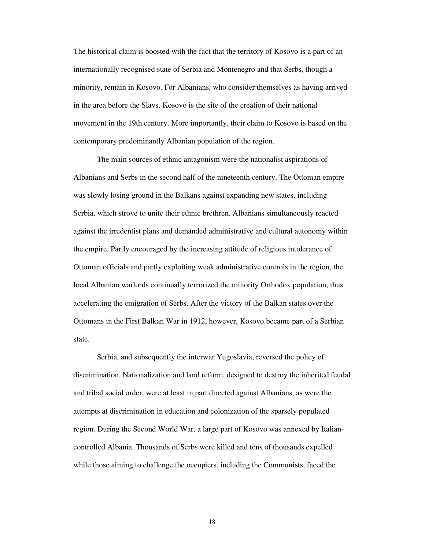The historical claim is boosted with the fact that the territory of Kosovo is a part of an internationally recognised state of Serbia and Montenegro and that Serbs, though a minority, remain in Kosovo. For Albanians, who consider themselves as having arrived in the area before the Slavs, Kosovo is the site of the creation of their national movement in the 19th century. More importantly, their claim to Kosovo is based on the contemporary predominantly Albanian population of the region.

The main sources of ethnic antagonism were the nationalist aspirations of Albanians and Serbs in the second half of the nineteenth century. The Ottoman empire was slowly losing ground in the Balkans against expanding new states, including Serbia, which strove to unite their ethnic brethren. Albanians simultaneously reacted against the irredentist plans and demanded administrative and cultural autonomy within the empire. Partly encouraged by the increasing attitude of religious intolerance of Ottoman officials and partly exploiting weak administrative controls in the region, the local Albanian warlords continually terrorized the minority Orthodox population, thus accelerating the emigration of Serbs. After the victory of the Balkan states over the Ottomans in the First Balkan War in 1912, however, Kosovo became part of a Serbian state.

Serbia, and subsequently the interwar Yugoslavia, reversed the policy of discrimination. Nationalization and land reform, designed to destroy the inherited feudal and tribal social order, were at least in part directed against Albanians, as were the attempts at discrimination in education and colonization of the sparsely populated region. During the Second World War, a large part of Kosovo was annexed by Italiancontrolled Albania. Thousands of Serbs were killed and tens of thousands expelled while those aiming to challenge the occupiers, including the Communists, faced the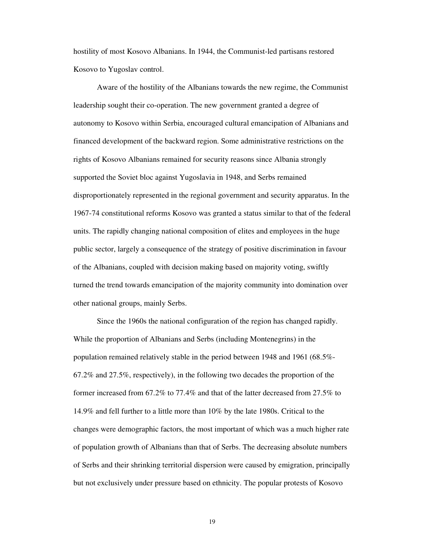hostility of most Kosovo Albanians. In 1944, the Communist-led partisans restored Kosovo to Yugoslav control.

Aware of the hostility of the Albanians towards the new regime, the Communist leadership sought their co-operation. The new government granted a degree of autonomy to Kosovo within Serbia, encouraged cultural emancipation of Albanians and financed development of the backward region. Some administrative restrictions on the rights of Kosovo Albanians remained for security reasons since Albania strongly supported the Soviet bloc against Yugoslavia in 1948, and Serbs remained disproportionately represented in the regional government and security apparatus. In the 1967-74 constitutional reforms Kosovo was granted a status similar to that of the federal units. The rapidly changing national composition of elites and employees in the huge public sector, largely a consequence of the strategy of positive discrimination in favour of the Albanians, coupled with decision making based on majority voting, swiftly turned the trend towards emancipation of the majority community into domination over other national groups, mainly Serbs.

Since the 1960s the national configuration of the region has changed rapidly. While the proportion of Albanians and Serbs (including Montenegrins) in the population remained relatively stable in the period between 1948 and 1961 (68.5%- 67.2% and 27.5%, respectively), in the following two decades the proportion of the former increased from 67.2% to 77.4% and that of the latter decreased from 27.5% to 14.9% and fell further to a little more than 10% by the late 1980s. Critical to the changes were demographic factors, the most important of which was a much higher rate of population growth of Albanians than that of Serbs. The decreasing absolute numbers of Serbs and their shrinking territorial dispersion were caused by emigration, principally but not exclusively under pressure based on ethnicity. The popular protests of Kosovo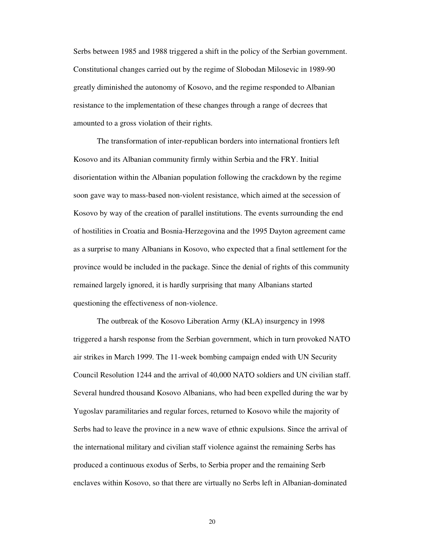Serbs between 1985 and 1988 triggered a shift in the policy of the Serbian government. Constitutional changes carried out by the regime of Slobodan Milosevic in 1989-90 greatly diminished the autonomy of Kosovo, and the regime responded to Albanian resistance to the implementation of these changes through a range of decrees that amounted to a gross violation of their rights.

The transformation of inter-republican borders into international frontiers left Kosovo and its Albanian community firmly within Serbia and the FRY. Initial disorientation within the Albanian population following the crackdown by the regime soon gave way to mass-based non-violent resistance, which aimed at the secession of Kosovo by way of the creation of parallel institutions. The events surrounding the end of hostilities in Croatia and Bosnia-Herzegovina and the 1995 Dayton agreement came as a surprise to many Albanians in Kosovo, who expected that a final settlement for the province would be included in the package. Since the denial of rights of this community remained largely ignored, it is hardly surprising that many Albanians started questioning the effectiveness of non-violence.

The outbreak of the Kosovo Liberation Army (KLA) insurgency in 1998 triggered a harsh response from the Serbian government, which in turn provoked NATO air strikes in March 1999. The 11-week bombing campaign ended with UN Security Council Resolution 1244 and the arrival of 40,000 NATO soldiers and UN civilian staff. Several hundred thousand Kosovo Albanians, who had been expelled during the war by Yugoslav paramilitaries and regular forces, returned to Kosovo while the majority of Serbs had to leave the province in a new wave of ethnic expulsions. Since the arrival of the international military and civilian staff violence against the remaining Serbs has produced a continuous exodus of Serbs, to Serbia proper and the remaining Serb enclaves within Kosovo, so that there are virtually no Serbs left in Albanian-dominated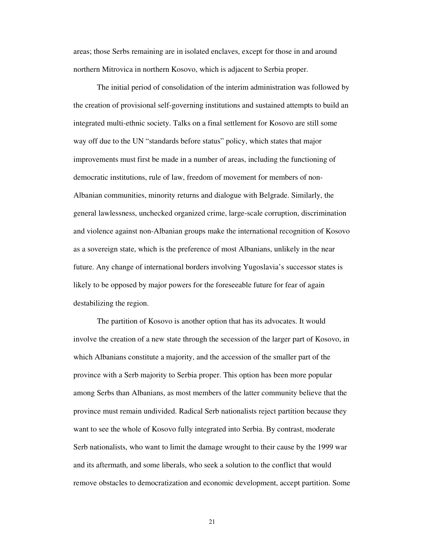areas; those Serbs remaining are in isolated enclaves, except for those in and around northern Mitrovica in northern Kosovo, which is adjacent to Serbia proper.

The initial period of consolidation of the interim administration was followed by the creation of provisional self-governing institutions and sustained attempts to build an integrated multi-ethnic society. Talks on a final settlement for Kosovo are still some way off due to the UN "standards before status" policy, which states that major improvements must first be made in a number of areas, including the functioning of democratic institutions, rule of law, freedom of movement for members of non-Albanian communities, minority returns and dialogue with Belgrade. Similarly, the general lawlessness, unchecked organized crime, large-scale corruption, discrimination and violence against non-Albanian groups make the international recognition of Kosovo as a sovereign state, which is the preference of most Albanians, unlikely in the near future. Any change of international borders involving Yugoslavia's successor states is likely to be opposed by major powers for the foreseeable future for fear of again destabilizing the region.

The partition of Kosovo is another option that has its advocates. It would involve the creation of a new state through the secession of the larger part of Kosovo, in which Albanians constitute a majority, and the accession of the smaller part of the province with a Serb majority to Serbia proper. This option has been more popular among Serbs than Albanians, as most members of the latter community believe that the province must remain undivided. Radical Serb nationalists reject partition because they want to see the whole of Kosovo fully integrated into Serbia. By contrast, moderate Serb nationalists, who want to limit the damage wrought to their cause by the 1999 war and its aftermath, and some liberals, who seek a solution to the conflict that would remove obstacles to democratization and economic development, accept partition. Some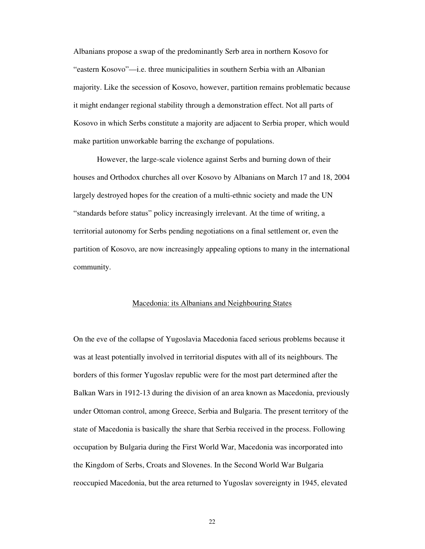Albanians propose a swap of the predominantly Serb area in northern Kosovo for "eastern Kosovo"—i.e. three municipalities in southern Serbia with an Albanian majority. Like the secession of Kosovo, however, partition remains problematic because it might endanger regional stability through a demonstration effect. Not all parts of Kosovo in which Serbs constitute a majority are adjacent to Serbia proper, which would make partition unworkable barring the exchange of populations.

However, the large-scale violence against Serbs and burning down of their houses and Orthodox churches all over Kosovo by Albanians on March 17 and 18, 2004 largely destroyed hopes for the creation of a multi-ethnic society and made the UN "standards before status" policy increasingly irrelevant. At the time of writing, a territorial autonomy for Serbs pending negotiations on a final settlement or, even the partition of Kosovo, are now increasingly appealing options to many in the international community.

### Macedonia: its Albanians and Neighbouring States

On the eve of the collapse of Yugoslavia Macedonia faced serious problems because it was at least potentially involved in territorial disputes with all of its neighbours. The borders of this former Yugoslav republic were for the most part determined after the Balkan Wars in 1912-13 during the division of an area known as Macedonia, previously under Ottoman control, among Greece, Serbia and Bulgaria. The present territory of the state of Macedonia is basically the share that Serbia received in the process. Following occupation by Bulgaria during the First World War, Macedonia was incorporated into the Kingdom of Serbs, Croats and Slovenes. In the Second World War Bulgaria reoccupied Macedonia, but the area returned to Yugoslav sovereignty in 1945, elevated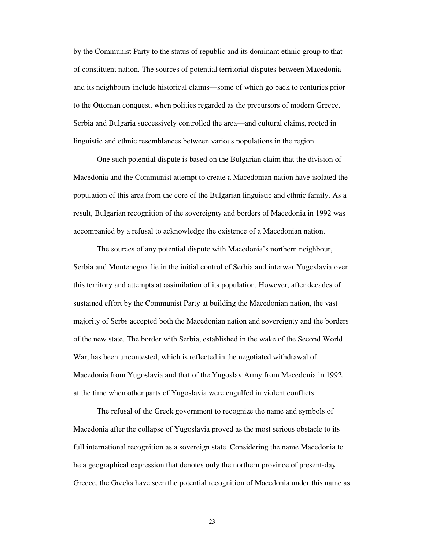by the Communist Party to the status of republic and its dominant ethnic group to that of constituent nation. The sources of potential territorial disputes between Macedonia and its neighbours include historical claims—some of which go back to centuries prior to the Ottoman conquest, when polities regarded as the precursors of modern Greece, Serbia and Bulgaria successively controlled the area—and cultural claims, rooted in linguistic and ethnic resemblances between various populations in the region.

One such potential dispute is based on the Bulgarian claim that the division of Macedonia and the Communist attempt to create a Macedonian nation have isolated the population of this area from the core of the Bulgarian linguistic and ethnic family. As a result, Bulgarian recognition of the sovereignty and borders of Macedonia in 1992 was accompanied by a refusal to acknowledge the existence of a Macedonian nation.

The sources of any potential dispute with Macedonia's northern neighbour, Serbia and Montenegro, lie in the initial control of Serbia and interwar Yugoslavia over this territory and attempts at assimilation of its population. However, after decades of sustained effort by the Communist Party at building the Macedonian nation, the vast majority of Serbs accepted both the Macedonian nation and sovereignty and the borders of the new state. The border with Serbia, established in the wake of the Second World War, has been uncontested, which is reflected in the negotiated withdrawal of Macedonia from Yugoslavia and that of the Yugoslav Army from Macedonia in 1992, at the time when other parts of Yugoslavia were engulfed in violent conflicts.

The refusal of the Greek government to recognize the name and symbols of Macedonia after the collapse of Yugoslavia proved as the most serious obstacle to its full international recognition as a sovereign state. Considering the name Macedonia to be a geographical expression that denotes only the northern province of present-day Greece, the Greeks have seen the potential recognition of Macedonia under this name as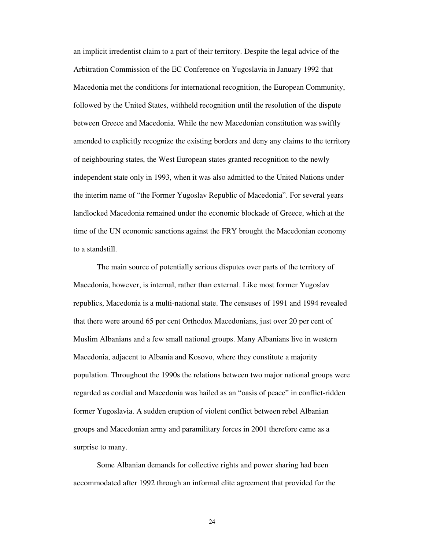an implicit irredentist claim to a part of their territory. Despite the legal advice of the Arbitration Commission of the EC Conference on Yugoslavia in January 1992 that Macedonia met the conditions for international recognition, the European Community, followed by the United States, withheld recognition until the resolution of the dispute between Greece and Macedonia. While the new Macedonian constitution was swiftly amended to explicitly recognize the existing borders and deny any claims to the territory of neighbouring states, the West European states granted recognition to the newly independent state only in 1993, when it was also admitted to the United Nations under the interim name of "the Former Yugoslav Republic of Macedonia". For several years landlocked Macedonia remained under the economic blockade of Greece, which at the time of the UN economic sanctions against the FRY brought the Macedonian economy to a standstill.

The main source of potentially serious disputes over parts of the territory of Macedonia, however, is internal, rather than external. Like most former Yugoslav republics, Macedonia is a multi-national state. The censuses of 1991 and 1994 revealed that there were around 65 per cent Orthodox Macedonians, just over 20 per cent of Muslim Albanians and a few small national groups. Many Albanians live in western Macedonia, adjacent to Albania and Kosovo, where they constitute a majority population. Throughout the 1990s the relations between two major national groups were regarded as cordial and Macedonia was hailed as an "oasis of peace" in conflict-ridden former Yugoslavia. A sudden eruption of violent conflict between rebel Albanian groups and Macedonian army and paramilitary forces in 2001 therefore came as a surprise to many.

Some Albanian demands for collective rights and power sharing had been accommodated after 1992 through an informal elite agreement that provided for the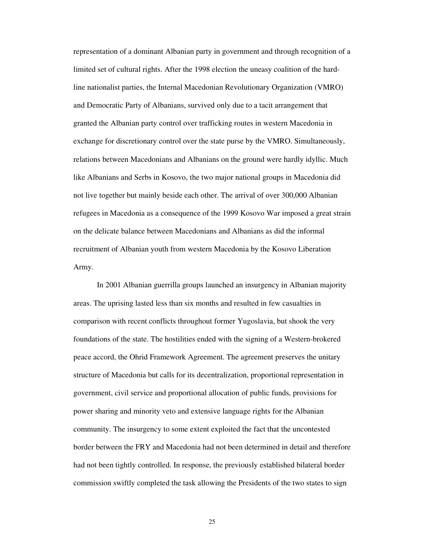representation of a dominant Albanian party in government and through recognition of a limited set of cultural rights. After the 1998 election the uneasy coalition of the hardline nationalist parties, the Internal Macedonian Revolutionary Organization (VMRO) and Democratic Party of Albanians, survived only due to a tacit arrangement that granted the Albanian party control over trafficking routes in western Macedonia in exchange for discretionary control over the state purse by the VMRO. Simultaneously, relations between Macedonians and Albanians on the ground were hardly idyllic. Much like Albanians and Serbs in Kosovo, the two major national groups in Macedonia did not live together but mainly beside each other. The arrival of over 300,000 Albanian refugees in Macedonia as a consequence of the 1999 Kosovo War imposed a great strain on the delicate balance between Macedonians and Albanians as did the informal recruitment of Albanian youth from western Macedonia by the Kosovo Liberation Army.

In 2001 Albanian guerrilla groups launched an insurgency in Albanian majority areas. The uprising lasted less than six months and resulted in few casualties in comparison with recent conflicts throughout former Yugoslavia, but shook the very foundations of the state. The hostilities ended with the signing of a Western-brokered peace accord, the Ohrid Framework Agreement. The agreement preserves the unitary structure of Macedonia but calls for its decentralization, proportional representation in government, civil service and proportional allocation of public funds, provisions for power sharing and minority veto and extensive language rights for the Albanian community. The insurgency to some extent exploited the fact that the uncontested border between the FRY and Macedonia had not been determined in detail and therefore had not been tightly controlled. In response, the previously established bilateral border commission swiftly completed the task allowing the Presidents of the two states to sign